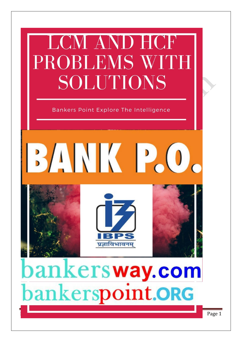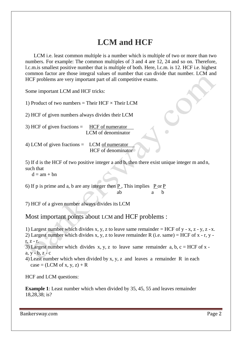## **LCM and HCF**

LCM i.e. least common multiple is a number which is multiple of two or more than two numbers. For example: The common multiples of 3 and 4 are 12, 24 and so on. Therefore, l.c.m.is smallest positive number that is multiple of both. Here, l.c.m. is 12. HCF i.e. highest common factor are those integral values of number that can divide that number. LCM and HCF problems are very important part of all competitive exams.

Some important LCM and HCF tricks:

1) Product of two numbers = Their HCF  $\times$  Their LCM

2) HCF of given numbers always divides their LCM

3) HCF of given fractions  $=$  HCF of numerator LCM of denominator

4) LCM of given fractions = LCM of numerator HCF of denominator

5) If d is the HCF of two positive integer a and b, then there exist unique integer m and n, such that

 $d = am + bn$ 

6) If p is prime and a, b are any integer then  $\underline{P}$ , This implies  $\underline{P}$  or  $\underline{P}$ ab a b

7) HCF of a given number always divides its LCM

Most important points about LCM and HCF problems :

1) Largest number which divides x, y, z to leave same remainder  $=$  HCF of y - x, z - y, z - x.

2) Largest number which divides x, y, z to leave remainder R (i.e. same) = HCF of x - r, y r, z - r.

3) Largest number which divides x, y, z to leave same remainder a, b,  $c = HCF$  of x  $a, y - b, z - c$ 

4) Least number which when divided by x, y, z and leaves a remainder R in each  $case = (LCM \text{ of } x, y, z) + R$ 

HCF and LCM questions:

**Example 1**: Least number which when divided by 35, 45, 55 and leaves remainder 18,28,38; is?

Bankersway.com **Page 2**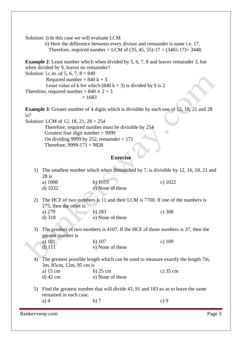Solution: i) In this case we will evaluate LCM

ii) Here the difference between every divisor and remainder is same i.e. 17. Therefore, required number = LCM of  $(35, 45, 55)$ -17 =  $(3465$ -17 $)$ = 3448.

**Example 2**: Least number which when divided by 5, 6, 7, 8 and leaves remainder 3, but when divided by 9, leaves no remainder? Solution: l.c.m. of 5, 6, 7,  $8 = 840$ Required number =  $840 \text{ k} + 3$ Least value of k for which  $(840 \text{ k} + 3)$  is divided by 9 is 2

Therefore, required number =  $840 \times 2 + 3$ 

$$
=1683
$$

**Example 3**: Greater number of 4 digits which is divisible by each one of 12, 18, 21 and 28 is?

Solution: LCM of 12, 18, 21, 28 = 254 Therefore, required number must be divisible by 254 Greatest four digit number = 9999 On dividing 9999 by 252, remainder  $= 171$ Therefore,  $9999-171 = 9828$ 

## **Exercise**

1) The smallest number which when diminished by 7, is divisible by 12, 16, 18, 21 and 28 is a) 1008 b) 1015 c) 1022

 $\bigcirc$ 

d) 1032 e) None of these

- 2) The HCF of two numbers is 11 and their LCM is 7700. If one of the numbers is 275, then the other is a) 279 b) 283 c) 308
	- d) 318 e) None of these
- 3) The product of two numbers is 4107. If the HCF of those numbers is 37, then the greater number is

a) 101 b) 107 c) 109 d) 111 e) None of these

4) The greatest possible length which can be used to measure exactly the length 7m, 3m, 85cm, 12m, 95 cm is<br>a) 15 cm a) 15 cm b) 25 cm c) 35 cm

| $\alpha$ ) 19 UH | U <sub>L</sub> U <sub>L</sub> | U JJ C |
|------------------|-------------------------------|--------|
| d) 42 cm         | e) None of these              |        |

5) Find the greatest number that will divide 43, 91 and 183 so as to leave the same remained in each case. a) 4 b) 7 c) 9

Bankersway.com **Page 3**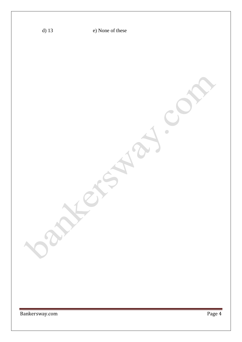| $d)$ 13        | e) None of these |        |
|----------------|------------------|--------|
|                |                  |        |
| bar            |                  |        |
| Bankersway.com |                  | Page 4 |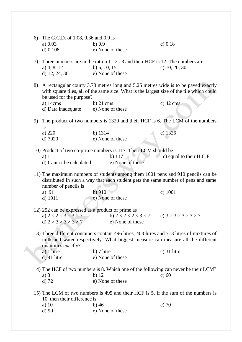|    | 6) The G.C.D. of 1.08, 0.36 and 0.9 is<br>a) $0.03$<br>$d)$ 0.108                                                                                                                                     | $b)$ 0.9<br>e) None of these                                                                                                                                                   | c) $0.18$                                  |  |  |
|----|-------------------------------------------------------------------------------------------------------------------------------------------------------------------------------------------------------|--------------------------------------------------------------------------------------------------------------------------------------------------------------------------------|--------------------------------------------|--|--|
| 7) | a) $4, 8, 12$<br>d) 12, 24, 36                                                                                                                                                                        | Three numbers are in the ration $1:2:3$ and their HCF is 12. The numbers are<br>b) $5, 10, 15$<br>e) None of these                                                             | c) $10, 20, 30$                            |  |  |
|    | 8)<br>be used for the purpose?                                                                                                                                                                        | A rectangular courty 3.78 metres long and 5.25 metres wide is to be paved exactly<br>with square tiles, all of the same size. What is the largest size of the tile which could |                                            |  |  |
|    | a) 14cms<br>d) Data inadequate                                                                                                                                                                        | $b)$ 21 cms<br>e) None of these                                                                                                                                                | $c)$ 42 cms                                |  |  |
|    | The product of two numbers is 1320 and their HCF is 6. The LCM of the numbers<br>9)                                                                                                                   |                                                                                                                                                                                |                                            |  |  |
|    | is<br>a) 220<br>d) 7920                                                                                                                                                                               | b) 1314<br>e) None of these                                                                                                                                                    | c) $1326$                                  |  |  |
|    | $a)$ 1<br>d) Cannot be calculated                                                                                                                                                                     | 10) Product of two co-prime numbers is 117. Their LCM should be<br>b) $117$<br>e) None of these                                                                                | c) equal to their H.C.F.                   |  |  |
|    | 11) The maximum numbers of students among them 1001 pens and 910 pencils can be<br>distributed in such a way that each student gets the same number of pens and same<br>number of pencils is          |                                                                                                                                                                                |                                            |  |  |
|    | a) 91<br>d) 1911                                                                                                                                                                                      | $b)$ 910<br>e) None of these                                                                                                                                                   | $c)$ 1001                                  |  |  |
|    | 12) 252 can be expressed as a product of prime as<br>a) $2 \times 2 \times 3 \times 3 \times 7$<br>d) $2 \times 3 \times 3 \times 3 \times 7$                                                         | b) $2 \times 2 \times 2 \times 3 \times 7$<br>e) None of these                                                                                                                 | c) $3 \times 3 \times 3 \times 3 \times 7$ |  |  |
|    | 13) Three different containers contain 496 litres, 403 litres and 713 litres of mixtures of<br>milk and water respectively. What biggest measure can measure all the different<br>quantities exactly? |                                                                                                                                                                                |                                            |  |  |
|    | a) 1 litre<br>$d)$ 41 litre                                                                                                                                                                           | b) 7 litre<br>e) None of these                                                                                                                                                 | $c)$ 31 litre                              |  |  |
|    | a) 8<br>$d)$ 72                                                                                                                                                                                       | 14) The HCF of two numbers is 8. Which one of the following can never be their LCM?<br>$b)$ 12<br>e) None of these                                                             | c) $60$                                    |  |  |
|    | 15) The LCM of two numbers is 495 and their HCF is 5. If the sum of the numbers is<br>10, then their difference is                                                                                    |                                                                                                                                                                                |                                            |  |  |
|    | a) $10$<br>d)90                                                                                                                                                                                       | $b)$ 46<br>e) None of these                                                                                                                                                    | c) $70$                                    |  |  |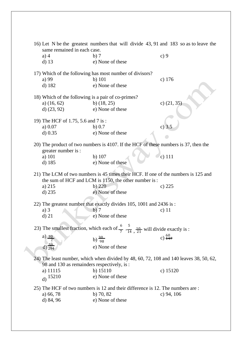| 16) Let N be the greatest numbers that will divide 43, 91 and 183 so as to leave the<br>same remained in each case.                        |                                                                                                                    |                     |
|--------------------------------------------------------------------------------------------------------------------------------------------|--------------------------------------------------------------------------------------------------------------------|---------------------|
| $a)$ 4                                                                                                                                     | b)7                                                                                                                | c)9                 |
| $d)$ 13                                                                                                                                    | e) None of these                                                                                                   |                     |
|                                                                                                                                            | 17) Which of the following has most number of divisors?                                                            |                     |
| a) 99                                                                                                                                      | $b)$ 101                                                                                                           | c) $176$            |
| d) 182                                                                                                                                     | e) None of these                                                                                                   |                     |
| 18) Which of the following is a pair of co-primes?                                                                                         |                                                                                                                    |                     |
| a) $(16, 62)$                                                                                                                              | b) $(18, 25)$                                                                                                      | c) $(21, 35)$       |
| d) $(23, 92)$                                                                                                                              | e) None of these                                                                                                   |                     |
|                                                                                                                                            |                                                                                                                    |                     |
| 19) The HCF of 1.75, 5.6 and 7 is:                                                                                                         |                                                                                                                    |                     |
| a) $0.07$                                                                                                                                  | b) $0.7$                                                                                                           | c) $3.5$            |
| $d)$ 0.35                                                                                                                                  | e) None of these                                                                                                   |                     |
|                                                                                                                                            |                                                                                                                    |                     |
| 20) The product of two numbers is 4107. If the HCF of these numbers is 37, then the<br>greater number is :                                 |                                                                                                                    |                     |
| a) 101                                                                                                                                     | b) 107                                                                                                             | $c)$ 111            |
| d) 185                                                                                                                                     | e) None of these                                                                                                   |                     |
|                                                                                                                                            |                                                                                                                    |                     |
| 21) The LCM of two numbers is 45 times their HCF. If one of the numbers is 125 and<br>the sum of HCF and LCM is 1150, the other number is: |                                                                                                                    |                     |
| a) 215                                                                                                                                     | b) 220                                                                                                             | c) 225              |
| $d)$ 235                                                                                                                                   | e) None of these                                                                                                   |                     |
|                                                                                                                                            |                                                                                                                    |                     |
| 22) The greatest number that exactly divides 105, 1001 and 2436 is:                                                                        |                                                                                                                    |                     |
| $a)$ 3                                                                                                                                     | b)7                                                                                                                | c) $11$             |
| $d)$ 21                                                                                                                                    | e) None of these                                                                                                   |                     |
|                                                                                                                                            | 23) The smallest fraction, which each of $\frac{6}{7}$ , $\frac{5}{14}$ , $\frac{10}{21}$ will divide exactly is : |                     |
| a) $30$                                                                                                                                    | b) $\frac{30}{98}$                                                                                                 | c) $\frac{60}{147}$ |
| 50                                                                                                                                         |                                                                                                                    |                     |
| $d)$ 294                                                                                                                                   | e) None of these                                                                                                   |                     |
| 24) The least number, which when divided by $48, 60, 72, 108$ and $140$ leaves $38, 50, 62,$<br>98 and 130 as remainders respectively, is: |                                                                                                                    |                     |
| a) 11115                                                                                                                                   | b) $15110$                                                                                                         | c) $15120$          |
| d) $15210$                                                                                                                                 | e) None of these                                                                                                   |                     |
|                                                                                                                                            |                                                                                                                    |                     |
|                                                                                                                                            | 25) The HCF of two numbers is 12 and their difference is 12. The numbers are:                                      |                     |
| a) 66, 78                                                                                                                                  | b) $70, 82$                                                                                                        | c) 94, $106$        |
| d) 84, 96                                                                                                                                  | e) None of these                                                                                                   |                     |
|                                                                                                                                            |                                                                                                                    |                     |
|                                                                                                                                            |                                                                                                                    |                     |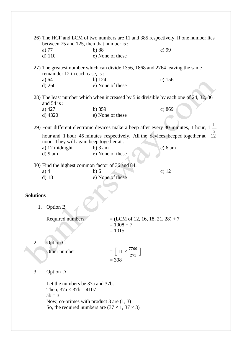|                  | 26) The HCF and LCM of two numbers are 11 and 385 respectively. If one number lies                                         |                                                                             |          |  |
|------------------|----------------------------------------------------------------------------------------------------------------------------|-----------------------------------------------------------------------------|----------|--|
|                  | between 75 and 125, then that number is:                                                                                   |                                                                             |          |  |
|                  | a) 77                                                                                                                      | b)88                                                                        | c) $99$  |  |
|                  | $d)$ 110                                                                                                                   | e) None of these                                                            |          |  |
|                  | 27) The greatest number which can divide 1356, 1868 and 2764 leaving the same<br>remainder 12 in each case, is :           |                                                                             |          |  |
|                  | a) $64$                                                                                                                    | b) $124$                                                                    | c) $156$ |  |
|                  | $d)$ 260                                                                                                                   | e) None of these                                                            |          |  |
|                  | 28) The least number which when increased by 5 is divisible by each one of 24, 32, 36<br>and $54$ is :                     |                                                                             |          |  |
|                  | a) $427$                                                                                                                   | b) 859                                                                      | c) 869   |  |
|                  | $d)$ 4320                                                                                                                  | e) None of these                                                            |          |  |
|                  | 29) Four different electronic devices make a beep after every 30 minutes, 1 hour, $1\frac{1}{x}$                           |                                                                             |          |  |
|                  | noon. They will again beep together at :                                                                                   | hour and 1 hour 45 minutes respectively. All the devices beeped together at | 12       |  |
|                  | a) 12 midnight                                                                                                             | $b)$ 3 am                                                                   | c) 6 am  |  |
|                  | $d$ ) 9 am                                                                                                                 | e) None of these                                                            |          |  |
|                  | 30) Find the highest common factor of 36 and 84.                                                                           |                                                                             |          |  |
|                  | $a)$ 4                                                                                                                     | b)6                                                                         | c) $12$  |  |
|                  | $d)$ 18                                                                                                                    | e) None of these                                                            |          |  |
|                  |                                                                                                                            |                                                                             |          |  |
| <b>Solutions</b> |                                                                                                                            |                                                                             |          |  |
|                  |                                                                                                                            |                                                                             |          |  |
|                  | <b>Option B</b><br>1.                                                                                                      |                                                                             |          |  |
|                  | Required numbers                                                                                                           | $= (LCM \text{ of } 12, 16, 18, 21, 28) + 7$                                |          |  |
|                  |                                                                                                                            | $= 1008 + 7$<br>$= 1015$                                                    |          |  |
|                  |                                                                                                                            |                                                                             |          |  |
| 2.               | Option C                                                                                                                   |                                                                             |          |  |
|                  | Other number                                                                                                               | $=\left[11 \times \frac{7700}{275}\right]$                                  |          |  |
|                  |                                                                                                                            | $= 308$                                                                     |          |  |
|                  |                                                                                                                            |                                                                             |          |  |
| 3.               | Option D                                                                                                                   |                                                                             |          |  |
|                  | Let the numbers be 37a and 37b.<br>Then, $37a \times 37b = 4107$<br>$ab = 3$<br>Now, co-primes with product 3 are $(1, 3)$ |                                                                             |          |  |
|                  |                                                                                                                            | So, the required numbers are $(37 \times 1, 37 \times 3)$                   |          |  |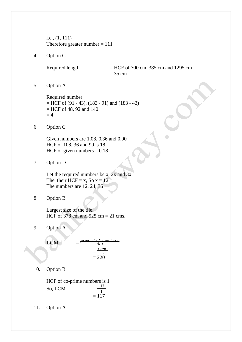i.e., (1, 111) Therefore greater number  $= 111$ 

4. Option C

Required length  $=$  HCF of 700 cm, 385 cm and 1295 cm  $= 35$  cm

5. Option A

Required number  $=$  HCF of (91 - 43), (183 - 91) and (183 - 43)  $=$  HCF of 48, 92 and 140  $= 4$ 

6. Option C

Given numbers are 1.08, 0.36 and 0.90 HCF of 108, 36 and 90 is 18 HCF of given numbers  $-0.18$ 

7. Option D

Let the required numbers be x,  $2x$  and  $3x$ The, their HCF = x, So  $x = 12$ The numbers are 12, 24, 36

8. Option B

Largest size of the tile. HCF of 378 cm and 525 cm  $= 21$  cms.

9. Option A

$$
LCM = \frac{product\ of\ numbers}{HCF}
$$
  
=  $\frac{1320}{6}$   
= 220

10. Option B

HCF of co-prime numbers is 1 So, LCM = 117 1  $= 117$ 

11. Option A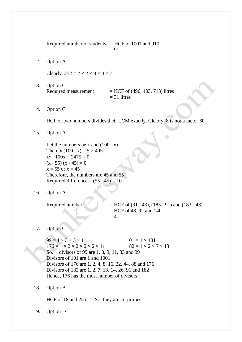Required number of students  $=$  HCF of 1001 and 910  $= 91$ 

12. Option A

Clearly,  $252 = 2 \times 2 \times 3 \times 3 \times 7$ 

- 13. Option C Required measurement  $= HCF$  of (496, 403, 713) litres  $= 31$  litres
- 14. Option C

HCF of two numbers divides their LCM exactly. Clearly, 8 is not a factor 60

15. Option A

Let the numbers be x and  $(100 - x)$ Then, x  $(100 - x) = 5 \times 495$  $x^2 - 100x + 2475 = 0$  $(x - 55) (x - 45) = 0$  $x = 55$  or  $x = 45$ Therefore, the numbers are 45 and 55 Required difference  $= (55 - 45) = 10$ 

16. Option A

Required number  $=$  HCF of (91 - 43), (183 - 91) and (183 - 43) = HCF of 48, 92 and 140  $= 4$ 

 $\bullet$ 

17. Option C

 $99 = 1 \times 3 \times 3 \times 11;$   $101 = 1 \times 101$  $176 = 1 \times 2 \times 2 \times 2 \times 2 \times 11$   $182 = 1 \times 2 \times 7 \times 13$ So, divisors of 99 are 1, 3, 9, 11, 33 and 99 Divisors of 101 are 1 and 1001 Divisors of 176 are 1, 2, 4, 8, 16, 22, 44, 88 and 176 Divisors of 182 are 1, 2, 7, 13, 14, 26, 91 and 182 Hence, 176 has the most number of divisors.

18. Option B

HCF of 18 and 25 is 1. So, they are co-primes.

19. Option D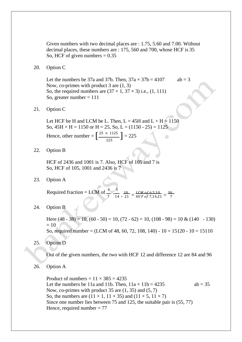Given numbers with two decimal places are : 1.75, 5.60 and 7.00. Without decimal places, these numbers are : 175, 560 and 700, whose HCF is 35 So, HCF of given numbers  $= 0.35$ 

20. Option C

Let the numbers be 37a and 37b. Then,  $37a \times 37b = 4107$  ab = 3 Now, co-primes with product 3 are (1, 3) So, the required numbers are  $(37 \times 1, 37 \times 3)$  i.e.,  $(1, 111)$ So, greater number  $= 111$ 

21. Option C

Let HCF be H and LCM be L. Then,  $L = 45H$  and  $L + H = 1150$ So,  $45H + H = 1150$  or  $H = 25$ , So,  $L = (1150 - 25) = 1125$ Hence, other number =  $\left[\frac{25 \times 1125}{125}\right]$  = 225  $\Box$ 125

22. Option B

HCF of 2436 and 1001 is 7. Also, HCF of 105 and 7 is So, HCF of 105, 1001 and 2436 is 7

23. Option A

Required fraction = LCM of  $\frac{6}{10}$ ,  $\frac{5}{20}$  $\frac{10}{7}$ ,  $\frac{10}{14}$ ,  $\frac{1 \text{ C}}{21}$  =  $\frac{1 \text{ C}}{1 \text{ C}}$  =  $\frac{1 \text{ C}}{1 \text{ C}}$  =  $\frac{10}{7}$ ,  $\frac{14}{21}$  =  $\frac{30}{7}$ 7

24. Option B

Here  $(48 - 38) = 10$ ,  $(60 - 50) = 10$ ,  $(72 - 62) = 10$ ,  $(108 - 98) = 10$  &  $(140 - 130)$  $= 10$ So, required number = (LCM of 48, 60, 72, 108, 140) -  $10 = 15120 - 10 = 15110$ 

25. Option D

Out of the given numbers, the two with HCF 12 and difference 12 are 84 and 96

26. Option A

Product of numbers =  $11 \times 385 = 4235$ Let the numbers be 11a and 11b. Then,  $11a \times 11b = 4235$  ab = 35 Now, co-primes with product  $35$  are  $(1, 35)$  and  $(5, 7)$ So, the numbers are  $(11 \times 1, 11 \times 35)$  and  $(11 \times 5, 11 \times 7)$ Since one number lies between 75 and 125, the suitable pair is (55, 77) Hence, required number  $= 77$